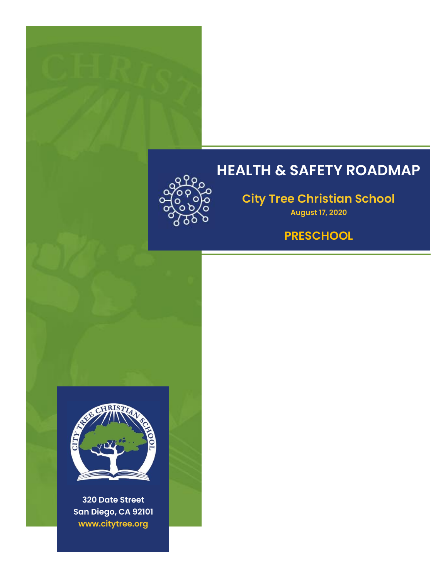

## **HEALTH & SAFETY ROADMAP**

**City Tree Christian School**

**August 17, 2020**

### **PRESCHOOL**



**320 Date Street San Diego, CA 92101 www.citytree.org**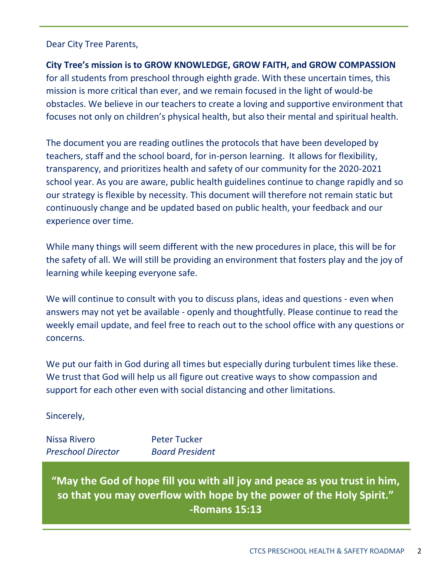#### Dear City Tree Parents,

#### **City Tree's mission is to GROW KNOWLEDGE, GROW FAITH, and GROW COMPASSION**

for all students from preschool through eighth grade. With these uncertain times, this mission is more critical than ever, and we remain focused in the light of would-be obstacles. We believe in our teachers to create a loving and supportive environment that focuses not only on children's physical health, but also their mental and spiritual health.

The document you are reading outlines the protocols that have been developed by teachers, staff and the school board, for in-person learning. It allows for flexibility, transparency, and prioritizes health and safety of our community for the 2020-2021 school year. As you are aware, public health guidelines continue to change rapidly and so our strategy is flexible by necessity. This document will therefore not remain static but continuously change and be updated based on public health, your feedback and our experience over time.

While many things will seem different with the new procedures in place, this will be for the safety of all. We will still be providing an environment that fosters play and the joy of learning while keeping everyone safe.

We will continue to consult with you to discuss plans, ideas and questions - even when answers may not yet be available - openly and thoughtfully. Please continue to read the weekly email update, and feel free to reach out to the school office with any questions or concerns.

We put our faith in God during all times but especially during turbulent times like these. We trust that God will help us all figure out creative ways to show compassion and support for each other even with social distancing and other limitations.

Sincerely,

Nissa Rivero Peter Tucker *Preschool Director Board President*

**"May the God of hope fill you with all joy and peace as you trust in him, so that you may overflow with hope by the power of the Holy Spirit." -Romans 15:13**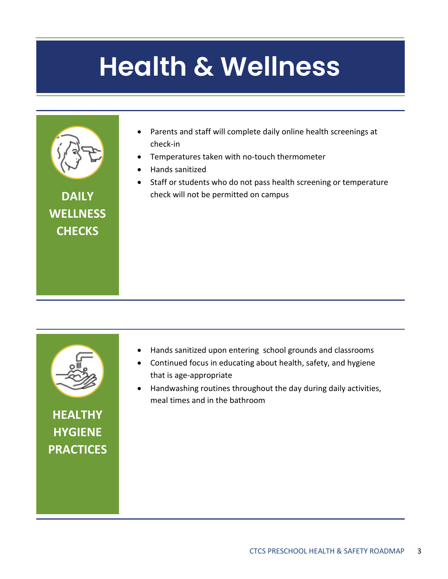# **Health & Wellness Health & Wellness**



**DAILY WELLNESS CHECKS**

- Parents and staff will complete daily online health screenings at check-in
- Temperatures taken with no-touch thermometer
- Hands sanitized
- Staff or students who do not pass health screening or temperature check will not be permitted on campus



**HEALTHY HYGIENE PRACTICES**

- Hands sanitized upon entering school grounds and classrooms
- Continued focus in educating about health, safety, and hygiene that is age-appropriate
- Handwashing routines throughout the day during daily activities, meal times and in the bathroom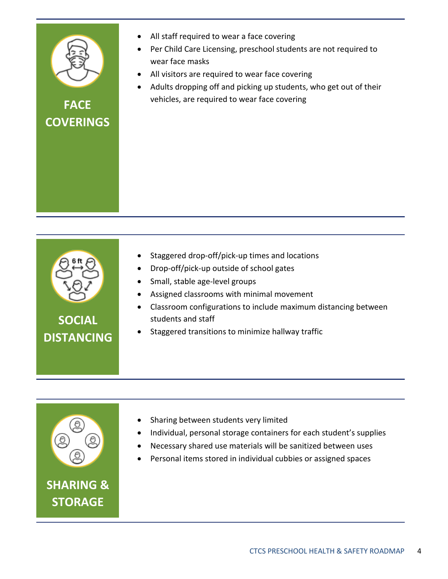

### **FACE COVERINGS**

• All staff required to wear a face covering

- Per Child Care Licensing, preschool students are not required to wear face masks
- All visitors are required to wear face covering
- Adults dropping off and picking up students, who get out of their vehicles, are required to wear face covering

|  | Staggered drop-off/pick-up times and locations |  |
|--|------------------------------------------------|--|
|  |                                                |  |

- Drop-off/pick-up outside of school gates
- Small, stable age-level groups
- Assigned classrooms with minimal movement
- Classroom configurations to include maximum distancing between students and staff
- Staggered transitions to minimize hallway traffic



**STORAGE**

- Sharing between students very limited
- Individual, personal storage containers for each student's supplies
- Necessary shared use materials will be sanitized between uses
- Personal items stored in individual cubbies or assigned spaces

## **SOCIAL DISTANCING**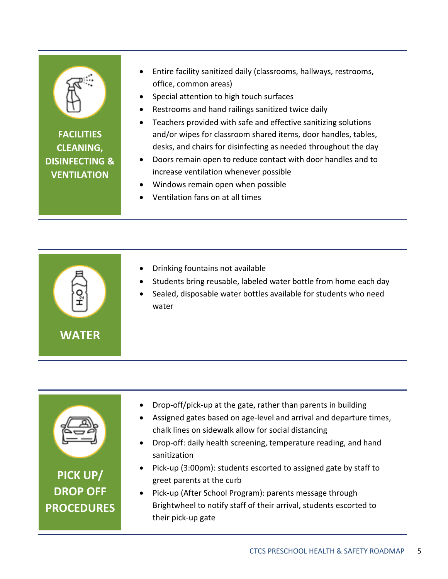

**FACILITIES CLEANING, DISINFECTING & VENTILATION**

- Entire facility sanitized daily (classrooms, hallways, restrooms, office, common areas)
- Special attention to high touch surfaces
- Restrooms and hand railings sanitized twice daily
- Teachers provided with safe and effective sanitizing solutions and/or wipes for classroom shared items, door handles, tables, desks, and chairs for disinfecting as needed throughout the day
- Doors remain open to reduce contact with door handles and to increase ventilation whenever possible
- Windows remain open when possible
- Ventilation fans on at all times





**PICK UP/ DROP OFF PROCEDURES**

- Drop-off/pick-up at the gate, rather than parents in building
- Assigned gates based on age-level and arrival and departure times, chalk lines on sidewalk allow for social distancing
- Drop-off: daily health screening, temperature reading, and hand sanitization
- Pick-up (3:00pm): students escorted to assigned gate by staff to greet parents at the curb
- Pick-up (After School Program): parents message through Brightwheel to notify staff of their arrival, students escorted to their pick-up gate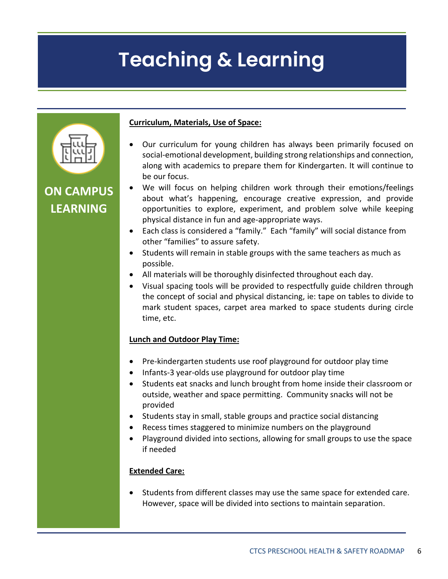## **Teaching & Learning**



**ON CAMPUS LEARNING**

#### **Curriculum, Materials, Use of Space:**

- Our curriculum for young children has always been primarily focused on social-emotional development, building strong relationships and connection, along with academics to prepare them for Kindergarten. It will continue to be our focus.
- We will focus on helping children work through their emotions/feelings about what's happening, encourage creative expression, and provide opportunities to explore, experiment, and problem solve while keeping physical distance in fun and age-appropriate ways.
- Each class is considered a "family." Each "family" will social distance from other "families" to assure safety.
- Students will remain in stable groups with the same teachers as much as possible.
- All materials will be thoroughly disinfected throughout each day.
- Visual spacing tools will be provided to respectfully guide children through the concept of social and physical distancing, ie: tape on tables to divide to mark student spaces, carpet area marked to space students during circle time, etc.

#### **Lunch and Outdoor Play Time:**

- Pre-kindergarten students use roof playground for outdoor play time
- Infants-3 year-olds use playground for outdoor play time
- Students eat snacks and lunch brought from home inside their classroom or outside, weather and space permitting. Community snacks will not be provided
- Students stay in small, stable groups and practice social distancing
- Recess times staggered to minimize numbers on the playground
- Playground divided into sections, allowing for small groups to use the space if needed

#### **Extended Care:**

 Students from different classes may use the same space for extended care. However, space will be divided into sections to maintain separation.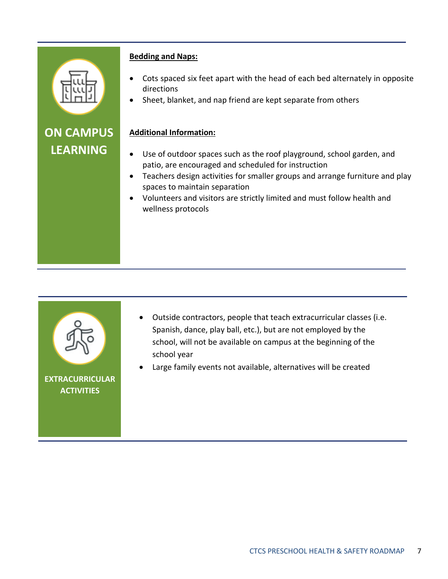

## **ON CAMPUS LEARNING**

#### **Bedding and Naps:**

- Cots spaced six feet apart with the head of each bed alternately in opposite directions
- Sheet, blanket, and nap friend are kept separate from others

#### **Additional Information:**

- Use of outdoor spaces such as the roof playground, school garden, and patio, are encouraged and scheduled for instruction
- Teachers design activities for smaller groups and arrange furniture and play spaces to maintain separation
- Volunteers and visitors are strictly limited and must follow health and wellness protocols



- Outside contractors, people that teach extracurricular classes (i.e. Spanish, dance, play ball, etc.), but are not employed by the school, will not be available on campus at the beginning of the school year
- Large family events not available, alternatives will be created

**EXTRACURRICULAR ACTIVITIES**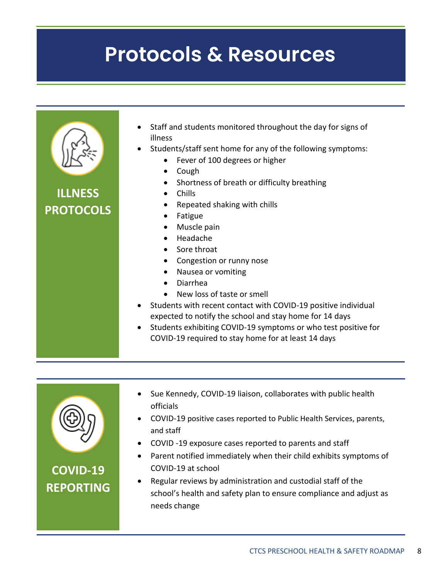## **Protocols & Resources**

| <b>ILLNESS</b><br><b>PROTOCOLS</b> | Staff and students monitored throughout the day for signs of<br>illness<br>Students/staff sent home for any of the following symptoms:<br>Fever of 100 degrees or higher<br>$\bullet$<br>Cough<br>$\bullet$<br>Shortness of breath or difficulty breathing<br>Chills<br>Repeated shaking with chills<br>Fatigue<br>Muscle pain<br>Headache<br>Sore throat<br>Congestion or runny nose<br>Nausea or vomiting<br>Diarrhea<br>New loss of taste or smell<br>Students with recent contact with COVID-19 positive individual<br>expected to notify the school and stay home for 14 days<br>Students exhibiting COVID-19 symptoms or who test positive for<br>$\bullet$<br>COVID-19 required to stay home for at least 14 days |
|------------------------------------|--------------------------------------------------------------------------------------------------------------------------------------------------------------------------------------------------------------------------------------------------------------------------------------------------------------------------------------------------------------------------------------------------------------------------------------------------------------------------------------------------------------------------------------------------------------------------------------------------------------------------------------------------------------------------------------------------------------------------|
|------------------------------------|--------------------------------------------------------------------------------------------------------------------------------------------------------------------------------------------------------------------------------------------------------------------------------------------------------------------------------------------------------------------------------------------------------------------------------------------------------------------------------------------------------------------------------------------------------------------------------------------------------------------------------------------------------------------------------------------------------------------------|



- Sue Kennedy, COVID-19 liaison, collaborates with public health officials
- COVID-19 positive cases reported to Public Health Services, parents, and staff
- COVID -19 exposure cases reported to parents and staff
- Parent notified immediately when their child exhibits symptoms of COVID-19 at school
- Regular reviews by administration and custodial staff of the school's health and safety plan to ensure compliance and adjust as needs change